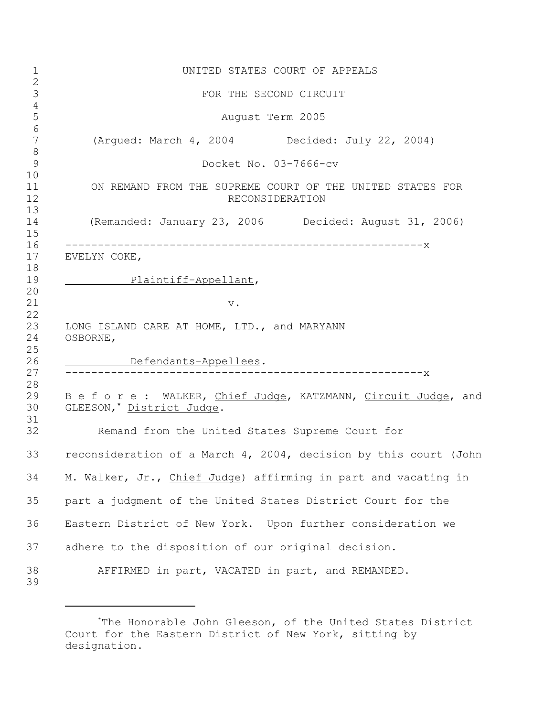| UNITED STATES COURT OF APPEALS                                                                |
|-----------------------------------------------------------------------------------------------|
| FOR THE SECOND CIRCUIT                                                                        |
| August Term 2005                                                                              |
| (Argued: March 4, 2004 Decided: July 22, 2004)                                                |
| Docket No. 03-7666-cv                                                                         |
| ON REMAND FROM THE SUPREME COURT OF THE UNITED STATES FOR<br>RECONSIDERATION                  |
| (Remanded: January 23, 2006 Decided: August 31, 2006)                                         |
| EVELYN COKE,                                                                                  |
| Plaintiff-Appellant,                                                                          |
| $\mathbf v$ .                                                                                 |
|                                                                                               |
| LONG ISLAND CARE AT HOME, LTD., and MARYANN<br>OSBORNE,                                       |
|                                                                                               |
| Defendants-Appellees.                                                                         |
|                                                                                               |
| B e f o r e : WALKER, Chief Judge, KATZMANN, Circuit Judge, and<br>GLEESON, * District Judge. |
| Remand from the United States Supreme Court for                                               |
| reconsideration of a March 4, 2004, decision by this court (John                              |
| M. Walker, Jr., Chief Judge) affirming in part and vacating in                                |
| part a judgment of the United States District Court for the                                   |
| Eastern District of New York. Upon further consideration we                                   |
| adhere to the disposition of our original decision.                                           |
| AFFIRMED in part, VACATED in part, and REMANDED.                                              |

<sup>\*</sup>The Honorable John Gleeson, of the United States District Court for the Eastern District of New York, sitting by designation.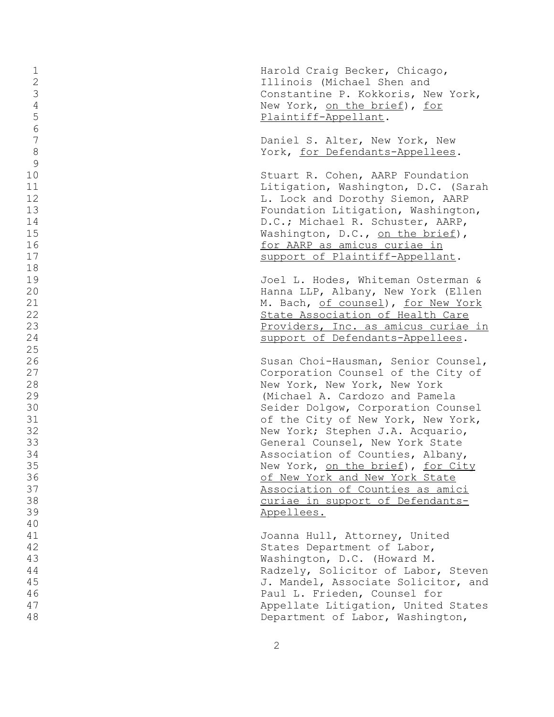| $\mathbf 1$<br>$\mathbf{2}$<br>3<br>$\sqrt{4}$<br>5<br>6                               | Harold Craig Becker, Chicago,<br>Illinois (Michael Shen and<br>Constantine P. Kokkoris, New York,<br>New York, on the brief), for<br>Plaintiff-Appellant.                                                                                                                                                                                                                                                                                                                                       |
|----------------------------------------------------------------------------------------|-------------------------------------------------------------------------------------------------------------------------------------------------------------------------------------------------------------------------------------------------------------------------------------------------------------------------------------------------------------------------------------------------------------------------------------------------------------------------------------------------|
| $\boldsymbol{7}$<br>$\,8\,$<br>9                                                       | Daniel S. Alter, New York, New<br>York, for Defendants-Appellees.                                                                                                                                                                                                                                                                                                                                                                                                                               |
| 10<br>11<br>12<br>13<br>14<br>15<br>16<br>17<br>18                                     | Stuart R. Cohen, AARP Foundation<br>Litigation, Washington, D.C. (Sarah<br>L. Lock and Dorothy Siemon, AARP<br>Foundation Litigation, Washington,<br>D.C.; Michael R. Schuster, AARP,<br>Washington, D.C., on the brief),<br>for AARP as amicus curiae in<br>support of Plaintiff-Appellant.                                                                                                                                                                                                    |
| 19<br>20<br>21<br>22<br>23<br>24<br>25                                                 | Joel L. Hodes, Whiteman Osterman &<br>Hanna LLP, Albany, New York (Ellen<br>M. Bach, of counsel), for New York<br>State Association of Health Care<br>Providers, Inc. as amicus curiae in<br>support of Defendants-Appellees.                                                                                                                                                                                                                                                                   |
| 26<br>27<br>28<br>29<br>30<br>31<br>32<br>33<br>34<br>35<br>36<br>37<br>38<br>39<br>40 | Susan Choi-Hausman, Senior Counsel,<br>Corporation Counsel of the City of<br>New York, New York, New York<br>(Michael A. Cardozo and Pamela<br>Seider Dolgow, Corporation Counsel<br>of the City of New York, New York,<br>New York; Stephen J.A. Acquario,<br>General Counsel, New York State<br>Association of Counties, Albany,<br>New York, on the brief), for City<br>of New York and New York State<br>Association of Counties as amici<br>curiae in support of Defendants-<br>Appellees. |
| 41<br>42<br>43<br>44<br>45<br>46<br>47<br>48                                           | Joanna Hull, Attorney, United<br>States Department of Labor,<br>Washington, D.C. (Howard M.<br>Radzely, Solicitor of Labor, Steven<br>J. Mandel, Associate Solicitor, and<br>Paul L. Frieden, Counsel for<br>Appellate Litigation, United States<br>Department of Labor, Washington,                                                                                                                                                                                                            |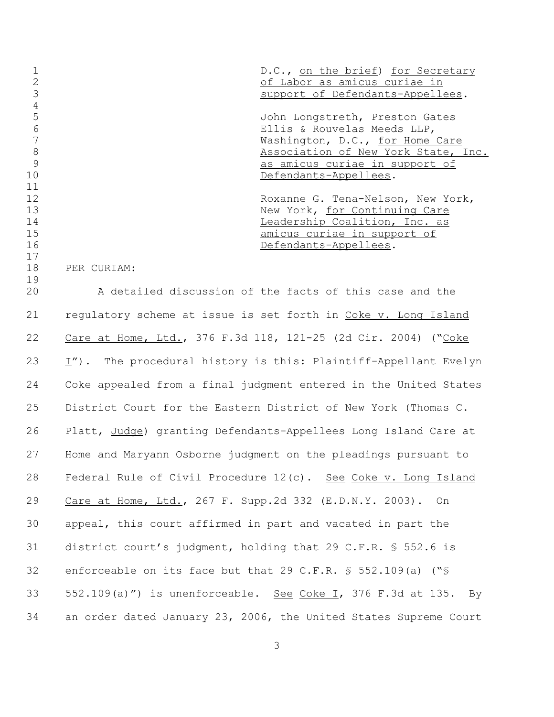|    | D.C., on the brief) for Secretary   |
|----|-------------------------------------|
|    | of Labor as amicus curiae in        |
|    | support of Defendants-Appellees.    |
|    |                                     |
|    | John Longstreth, Preston Gates      |
| 6  | Ellis & Rouvelas Meeds LLP,         |
|    | Washington, D.C., for Home Care     |
| 8  | Association of New York State, Inc. |
| 9  | as amicus curiae in support of      |
| 10 | Defendants-Appellees.               |
| 11 |                                     |
| 12 | Roxanne G. Tena-Nelson, New York,   |
| 13 | New York, for Continuing Care       |
| 14 | Leadership Coalition, Inc. as       |
| 15 | amicus curiae in support of         |
| 16 | Defendants-Appellees.               |
| 17 |                                     |

PER CURIAM:

 A detailed discussion of the facts of this case and the 21 regulatory scheme at issue is set forth in Coke v. Long Island Care at Home, Ltd., 376 F.3d 118, 121-25 (2d Cir. 2004) ("Coke  $\lfloor T \rfloor$ . The procedural history is this: Plaintiff-Appellant Evelyn Coke appealed from a final judgment entered in the United States District Court for the Eastern District of New York (Thomas C. Platt, Judge) granting Defendants-Appellees Long Island Care at Home and Maryann Osborne judgment on the pleadings pursuant to Federal Rule of Civil Procedure 12(c). See Coke v. Long Island Care at Home, Ltd., 267 F. Supp.2d 332 (E.D.N.Y. 2003). On appeal, this court affirmed in part and vacated in part the district court's judgment, holding that 29 C.F.R. § 552.6 is enforceable on its face but that 29 C.F.R. § 552.109(a) ("§ 33 552.109(a)") is unenforceable. See Coke I, 376 F.3d at 135. By an order dated January 23, 2006, the United States Supreme Court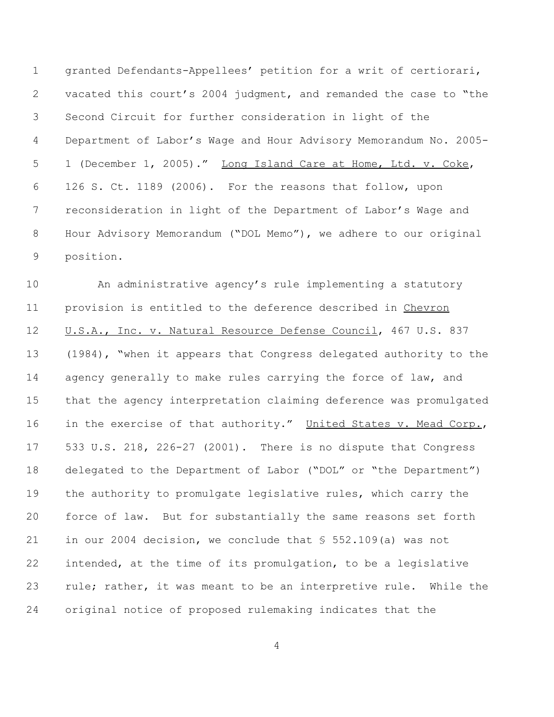granted Defendants-Appellees' petition for a writ of certiorari, vacated this court's 2004 judgment, and remanded the case to "the Second Circuit for further consideration in light of the Department of Labor's Wage and Hour Advisory Memorandum No. 2005- 1 (December 1, 2005)." Long Island Care at Home, Ltd. v. Coke, 126 S. Ct. 1189 (2006). For the reasons that follow, upon reconsideration in light of the Department of Labor's Wage and Hour Advisory Memorandum ("DOL Memo"), we adhere to our original position.

 An administrative agency's rule implementing a statutory provision is entitled to the deference described in Chevron 12 U.S.A., Inc. v. Natural Resource Defense Council, 467 U.S. 837 (1984), "when it appears that Congress delegated authority to the 14 agency generally to make rules carrying the force of law, and that the agency interpretation claiming deference was promulgated 16 in the exercise of that authority." United States v. Mead Corp., 533 U.S. 218, 226-27 (2001). There is no dispute that Congress delegated to the Department of Labor ("DOL" or "the Department") the authority to promulgate legislative rules, which carry the force of law. But for substantially the same reasons set forth in our 2004 decision, we conclude that § 552.109(a) was not intended, at the time of its promulgation, to be a legislative 23 rule; rather, it was meant to be an interpretive rule. While the original notice of proposed rulemaking indicates that the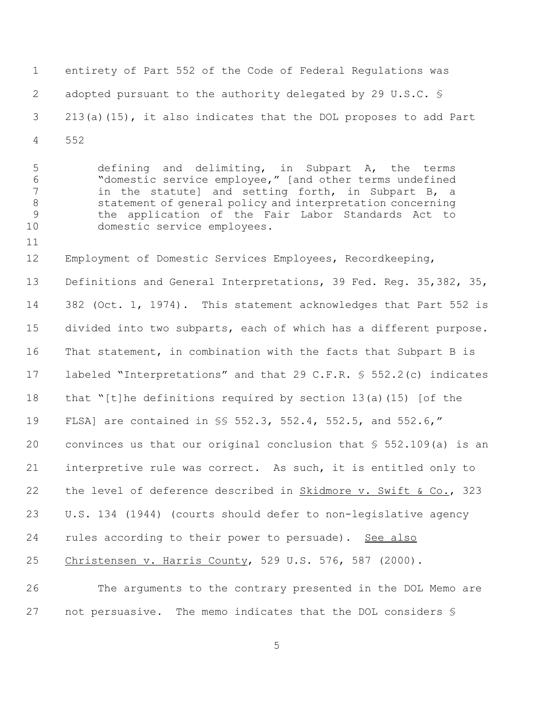entirety of Part 552 of the Code of Federal Regulations was adopted pursuant to the authority delegated by 29 U.S.C. § 213(a)(15), it also indicates that the DOL proposes to add Part 552

 defining and delimiting, in Subpart A, the terms "domestic service employee," [and other terms undefined in the statute] and setting forth, in Subpart B, a statement of general policy and interpretation concerning the application of the Fair Labor Standards Act to domestic service employees.

Employment of Domestic Services Employees, Recordkeeping,

13 Definitions and General Interpretations, 39 Fed. Reg. 35,382, 35, 382 (Oct. 1, 1974). This statement acknowledges that Part 552 is divided into two subparts, each of which has a different purpose. That statement, in combination with the facts that Subpart B is labeled "Interpretations" and that 29 C.F.R. § 552.2(c) indicates that "[t]he definitions required by section 13(a)(15) [of the FLSA] are contained in §§ 552.3, 552.4, 552.5, and 552.6," convinces us that our original conclusion that § 552.109(a) is an interpretive rule was correct. As such, it is entitled only to 22 the level of deference described in Skidmore v. Swift & Co., 323 U.S. 134 (1944) (courts should defer to non-legislative agency 24 rules according to their power to persuade). See also Christensen v. Harris County, 529 U.S. 576, 587 (2000).

 The arguments to the contrary presented in the DOL Memo are not persuasive. The memo indicates that the DOL considers §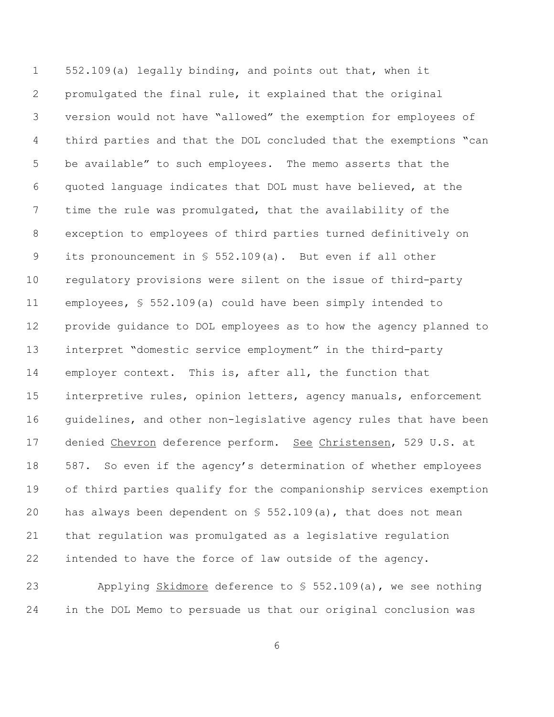552.109(a) legally binding, and points out that, when it promulgated the final rule, it explained that the original version would not have "allowed" the exemption for employees of third parties and that the DOL concluded that the exemptions "can be available" to such employees. The memo asserts that the quoted language indicates that DOL must have believed, at the time the rule was promulgated, that the availability of the exception to employees of third parties turned definitively on its pronouncement in § 552.109(a). But even if all other regulatory provisions were silent on the issue of third-party employees, § 552.109(a) could have been simply intended to provide guidance to DOL employees as to how the agency planned to interpret "domestic service employment" in the third-party employer context. This is, after all, the function that interpretive rules, opinion letters, agency manuals, enforcement 16 guidelines, and other non-legislative agency rules that have been 17 denied Chevron deference perform. See Christensen, 529 U.S. at 587. So even if the agency's determination of whether employees of third parties qualify for the companionship services exemption has always been dependent on § 552.109(a), that does not mean that regulation was promulgated as a legislative regulation intended to have the force of law outside of the agency.

23 Applying Skidmore deference to \$552.109(a), we see nothing in the DOL Memo to persuade us that our original conclusion was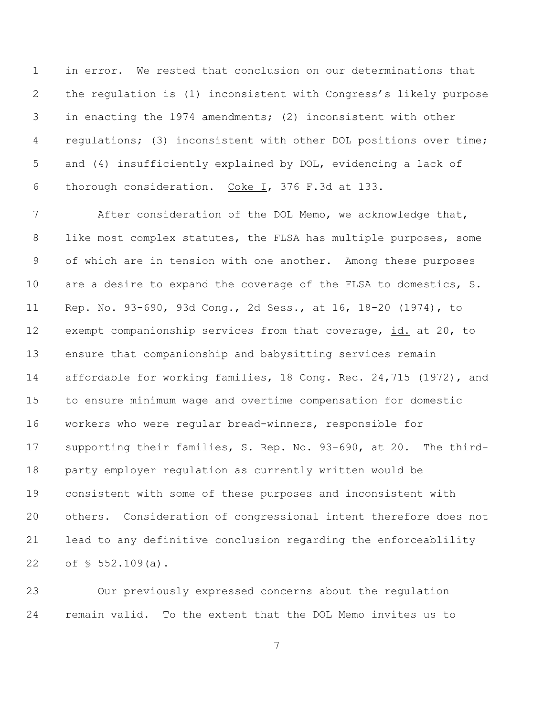in error. We rested that conclusion on our determinations that the regulation is (1) inconsistent with Congress's likely purpose in enacting the 1974 amendments; (2) inconsistent with other regulations; (3) inconsistent with other DOL positions over time; and (4) insufficiently explained by DOL, evidencing a lack of thorough consideration. Coke I, 376 F.3d at 133.

 After consideration of the DOL Memo, we acknowledge that, 8 like most complex statutes, the FLSA has multiple purposes, some of which are in tension with one another. Among these purposes are a desire to expand the coverage of the FLSA to domestics, S. Rep. No. 93-690, 93d Cong., 2d Sess., at 16, 18-20 (1974), to 12 exempt companionship services from that coverage, id. at 20, to ensure that companionship and babysitting services remain affordable for working families, 18 Cong. Rec. 24,715 (1972), and to ensure minimum wage and overtime compensation for domestic workers who were regular bread-winners, responsible for supporting their families, S. Rep. No. 93-690, at 20. The third- party employer regulation as currently written would be consistent with some of these purposes and inconsistent with others. Consideration of congressional intent therefore does not lead to any definitive conclusion regarding the enforceablility of § 552.109(a).

 Our previously expressed concerns about the regulation remain valid. To the extent that the DOL Memo invites us to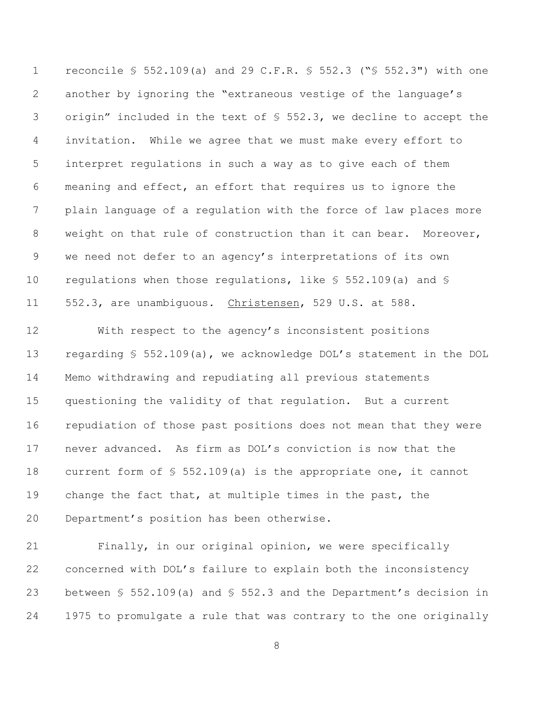reconcile § 552.109(a) and 29 C.F.R. § 552.3 ("§ 552.3") with one another by ignoring the "extraneous vestige of the language's origin" included in the text of § 552.3, we decline to accept the invitation. While we agree that we must make every effort to interpret regulations in such a way as to give each of them meaning and effect, an effort that requires us to ignore the plain language of a regulation with the force of law places more weight on that rule of construction than it can bear. Moreover, we need not defer to an agency's interpretations of its own 10 regulations when those regulations, like  $\S$  552.109(a) and  $\S$ 11 552.3, are unambiguous. Christensen, 529 U.S. at 588.

 With respect to the agency's inconsistent positions regarding § 552.109(a), we acknowledge DOL's statement in the DOL Memo withdrawing and repudiating all previous statements questioning the validity of that regulation. But a current repudiation of those past positions does not mean that they were never advanced. As firm as DOL's conviction is now that the current form of § 552.109(a) is the appropriate one, it cannot change the fact that, at multiple times in the past, the Department's position has been otherwise.

 Finally, in our original opinion, we were specifically concerned with DOL's failure to explain both the inconsistency between § 552.109(a) and § 552.3 and the Department's decision in 1975 to promulgate a rule that was contrary to the one originally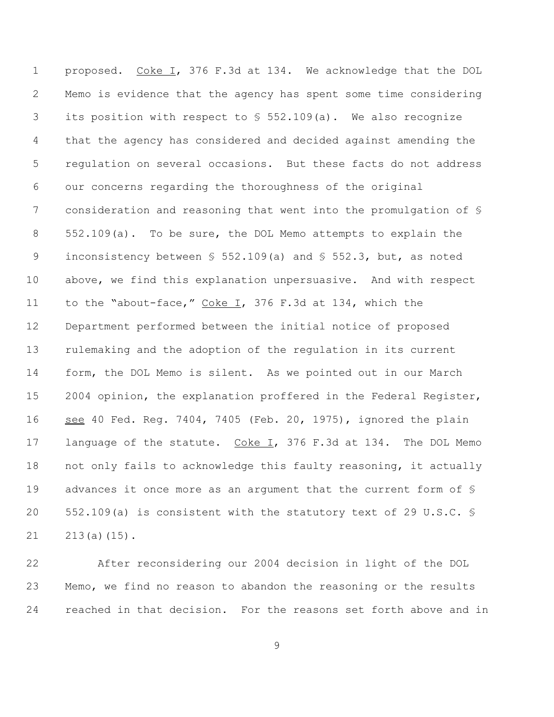proposed. Coke I, 376 F.3d at 134. We acknowledge that the DOL Memo is evidence that the agency has spent some time considering 3 its position with respect to  $$552.109(a)$ . We also recognize that the agency has considered and decided against amending the regulation on several occasions. But these facts do not address our concerns regarding the thoroughness of the original consideration and reasoning that went into the promulgation of § 552.109(a). To be sure, the DOL Memo attempts to explain the inconsistency between § 552.109(a) and § 552.3, but, as noted above, we find this explanation unpersuasive. And with respect 11 to the "about-face," Coke I, 376 F.3d at 134, which the Department performed between the initial notice of proposed rulemaking and the adoption of the regulation in its current form, the DOL Memo is silent. As we pointed out in our March 2004 opinion, the explanation proffered in the Federal Register, see 40 Fed. Reg. 7404, 7405 (Feb. 20, 1975), ignored the plain 17 language of the statute. Coke I, 376 F.3d at 134. The DOL Memo not only fails to acknowledge this faulty reasoning, it actually 19 advances it once more as an argument that the current form of  $\S$  552.109(a) is consistent with the statutory text of 29 U.S.C. § 213(a)(15).

 After reconsidering our 2004 decision in light of the DOL Memo, we find no reason to abandon the reasoning or the results reached in that decision. For the reasons set forth above and in